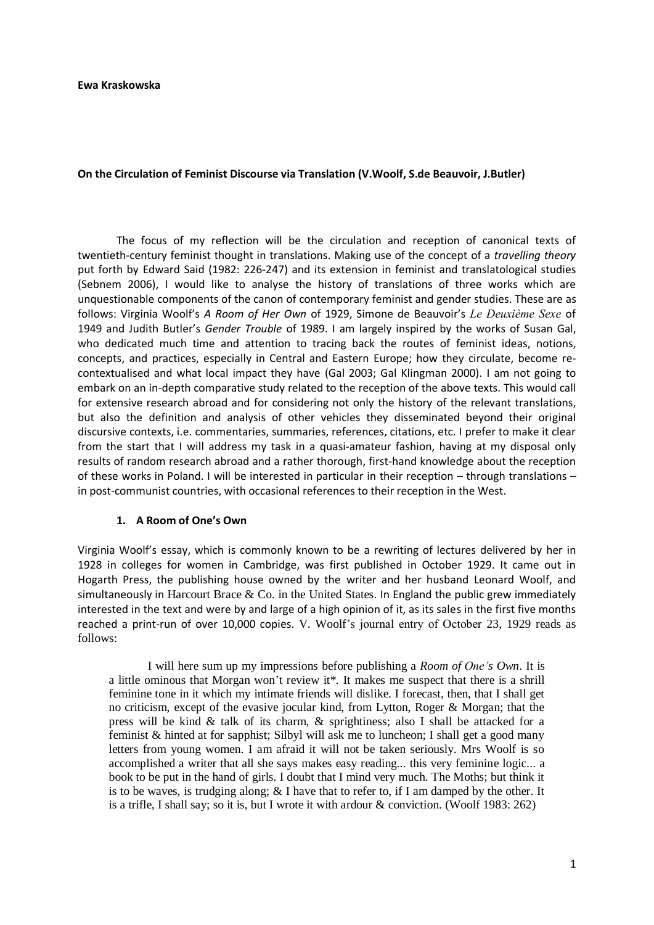#### **Ewa Kraskowska**

### **On the Circulation of Feminist Discourse via Translation (V.Woolf, S.de Beauvoir, J.Butler)**

The focus of my reflection will be the circulation and reception of canonical texts of twentieth-century feminist thought in translations. Making use of the concept of a *travelling theory*  put forth by Edward Said (1982: 226-247) and its extension in feminist and translatological studies (Sebnem 2006), I would like to analyse the history of translations of three works which are unquestionable components of the canon of contemporary feminist and gender studies. These are as follows: Virginia Woolf's *A Room of Her Own* of 1929, Simone de Beauvoir's *Le Deuxième Sexe* of 1949 and Judith Butler's *Gender Trouble* of 1989. I am largely inspired by the works of Susan Gal, who dedicated much time and attention to tracing back the routes of feminist ideas, notions, concepts, and practices, especially in Central and Eastern Europe; how they circulate, become recontextualised and what local impact they have (Gal 2003; Gal Klingman 2000). I am not going to embark on an in-depth comparative study related to the reception of the above texts. This would call for extensive research abroad and for considering not only the history of the relevant translations, but also the definition and analysis of other vehicles they disseminated beyond their original discursive contexts, i.e. commentaries, summaries, references, citations, etc. I prefer to make it clear from the start that I will address my task in a quasi-amateur fashion, having at my disposal only results of random research abroad and a rather thorough, first-hand knowledge about the reception of these works in Poland. I will be interested in particular in their reception – through translations – in post-communist countries, with occasional references to their reception in the West.

#### **1. A Room of One's Own**

Virginia Woolf's essay, which is commonly known to be a rewriting of lectures delivered by her in 1928 in colleges for women in Cambridge, was first published in October 1929. It came out in Hogarth Press, the publishing house owned by the writer and her husband Leonard Woolf, and simultaneously in Harcourt Brace  $\&$  Co. in the United States. In England the public grew immediately interested in the text and were by and large of a high opinion of it, as its sales in the first five months reached a print-run of over 10,000 copies. V. Woolf"s journal entry of October 23, 1929 reads as follows:

I will here sum up my impressions before publishing a *Room of One's Own*. It is a little ominous that Morgan won"t review it\*. It makes me suspect that there is a shrill feminine tone in it which my intimate friends will dislike. I forecast, then, that I shall get no criticism, except of the evasive jocular kind, from Lytton, Roger & Morgan; that the press will be kind  $\&$  talk of its charm,  $\&$  sprightiness; also I shall be attacked for a feminist & hinted at for sapphist; Silbyl will ask me to luncheon; I shall get a good many letters from young women. I am afraid it will not be taken seriously. Mrs Woolf is so accomplished a writer that all she says makes easy reading... this very feminine logic... a book to be put in the hand of girls. I doubt that I mind very much. The Moths; but think it is to be waves, is trudging along; & I have that to refer to, if I am damped by the other. It is a trifle, I shall say; so it is, but I wrote it with ardour & conviction. (Woolf 1983: 262)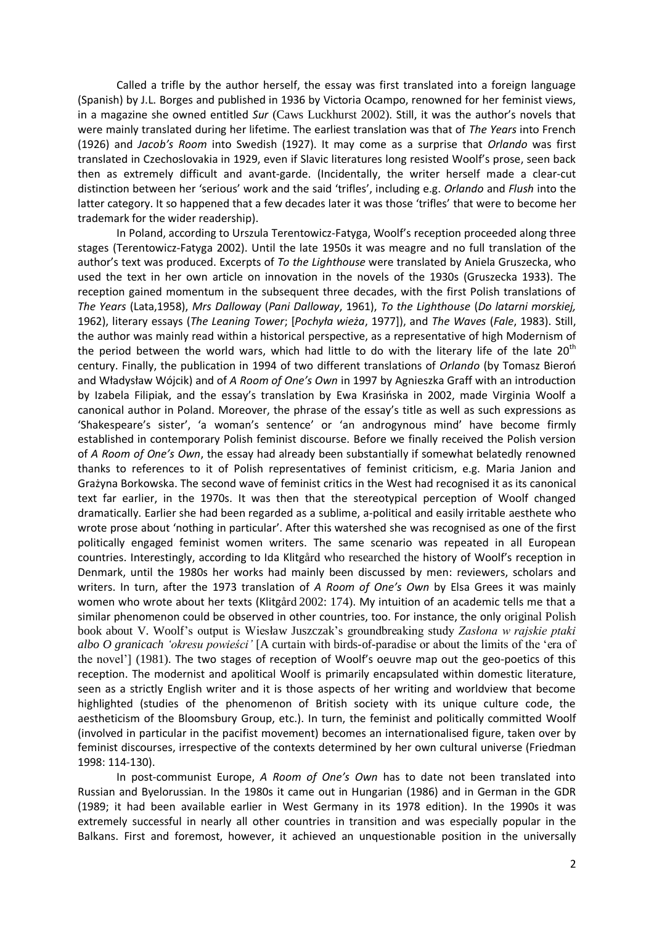Called a trifle by the author herself, the essay was first translated into a foreign language (Spanish) by J.L. Borges and published in 1936 by Victoria Ocampo, renowned for her feminist views, in a magazine she owned entitled *Sur* (Caws Luckhurst 2002). Still, it was the author's novels that were mainly translated during her lifetime. The earliest translation was that of *The Years* into French (1926) and *Jacob's Room* into Swedish (1927). It may come as a surprise that *Orlando* was first translated in Czechoslovakia in 1929, even if Slavic literatures long resisted Woolf's prose, seen back then as extremely difficult and avant-garde. (Incidentally, the writer herself made a clear-cut distinction between her 'serious' work and the said 'trifles', including e.g. *Orlando* and *Flush* into the latter category. It so happened that a few decades later it was those 'trifles' that were to become her trademark for the wider readership).

In Poland, according to Urszula Terentowicz-Fatyga, Woolf's reception proceeded along three stages (Terentowicz-Fatyga 2002). Until the late 1950s it was meagre and no full translation of the author's text was produced. Excerpts of *To the Lighthouse* were translated by Aniela Gruszecka, who used the text in her own article on innovation in the novels of the 1930s (Gruszecka 1933). The reception gained momentum in the subsequent three decades, with the first Polish translations of *The Years* (Lata,1958), *Mrs Dalloway* (*Pani Dalloway*, 1961), *To the Lighthouse* (*Do latarni morskiej,*  1962), literary essays (*The Leaning Tower*; [*Pochyła wieża*, 1977]), and *The Waves* (*Fale*, 1983). Still, the author was mainly read within a historical perspective, as a representative of high Modernism of the period between the world wars, which had little to do with the literary life of the late  $20<sup>th</sup>$ century. Finally, the publication in 1994 of two different translations of Orlando (by Tomasz Bieroń and Władysław Wójcik) and of *A Room of One's Own* in 1997 by Agnieszka Graff with an introduction by Izabela Filipiak, and the essay's translation by Ewa Krasińska in 2002, made Virginia Woolf a canonical author in Poland. Moreover, the phrase of the essay's title as well as such expressions as 'Shakespeare's sister', 'a woman's sentence' or 'an androgynous mind' have become firmly established in contemporary Polish feminist discourse. Before we finally received the Polish version of *A Room of One's Own*, the essay had already been substantially if somewhat belatedly renowned thanks to references to it of Polish representatives of feminist criticism, e.g. Maria Janion and Grażyna Borkowska. The second wave of feminist critics in the West had recognised it as its canonical text far earlier, in the 1970s. It was then that the stereotypical perception of Woolf changed dramatically. Earlier she had been regarded as a sublime, a-political and easily irritable aesthete who wrote prose about 'nothing in particular'. After this watershed she was recognised as one of the first politically engaged feminist women writers. The same scenario was repeated in all European countries. Interestingly, according to Ida Klitgård who researched the history of Woolf's reception in Denmark, until the 1980s her works had mainly been discussed by men: reviewers, scholars and writers. In turn, after the 1973 translation of *A Room of One's Own* by Elsa Grees it was mainly women who wrote about her texts (Klitgård 2002: 174). My intuition of an academic tells me that a similar phenomenon could be observed in other countries, too. For instance, the only original Polish book about V. Woolf"s output is Wiesław Juszczak"s groundbreaking study *Zasłona w rajskie ptaki albo O granicach 'okresu powieści'* [A curtain with birds-of-paradise or about the limits of the "era of the novel"] (1981). The two stages of reception of Woolf's oeuvre map out the geo-poetics of this reception. The modernist and apolitical Woolf is primarily encapsulated within domestic literature, seen as a strictly English writer and it is those aspects of her writing and worldview that become highlighted (studies of the phenomenon of British society with its unique culture code, the aestheticism of the Bloomsbury Group, etc.). In turn, the feminist and politically committed Woolf (involved in particular in the pacifist movement) becomes an internationalised figure, taken over by feminist discourses, irrespective of the contexts determined by her own cultural universe (Friedman 1998: 114-130).

In post-communist Europe, *A Room of One's Own* has to date not been translated into Russian and Byelorussian. In the 1980s it came out in Hungarian (1986) and in German in the GDR (1989; it had been available earlier in West Germany in its 1978 edition). In the 1990s it was extremely successful in nearly all other countries in transition and was especially popular in the Balkans. First and foremost, however, it achieved an unquestionable position in the universally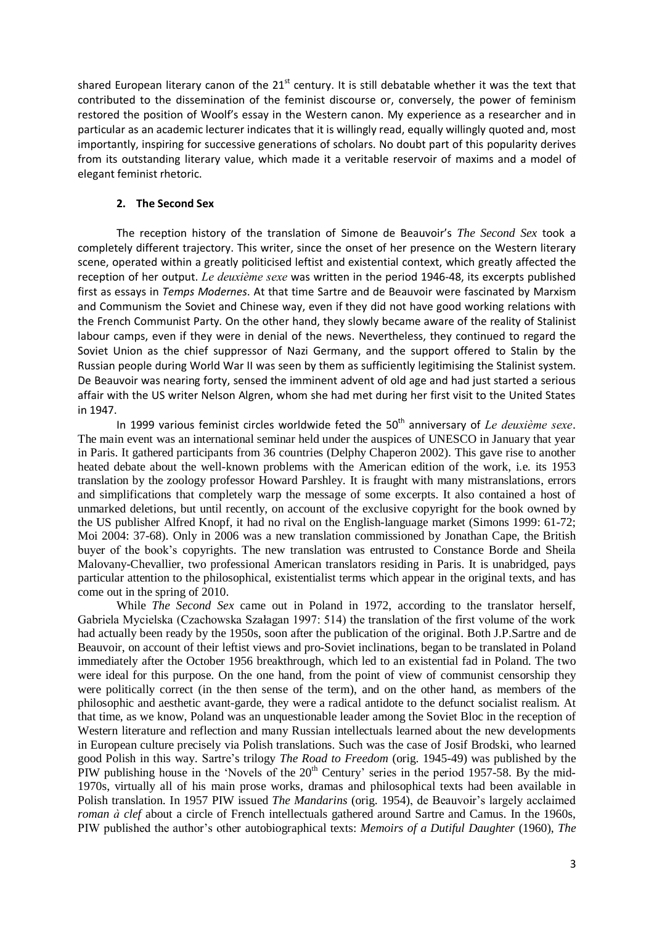shared European literary canon of the 21<sup>st</sup> century. It is still debatable whether it was the text that contributed to the dissemination of the feminist discourse or, conversely, the power of feminism restored the position of Woolf's essay in the Western canon. My experience as a researcher and in particular as an academic lecturer indicates that it is willingly read, equally willingly quoted and, most importantly, inspiring for successive generations of scholars. No doubt part of this popularity derives from its outstanding literary value, which made it a veritable reservoir of maxims and a model of elegant feminist rhetoric.

### **2. The Second Sex**

The reception history of the translation of Simone de Beauvoir's *The Second Sex* took a completely different trajectory. This writer, since the onset of her presence on the Western literary scene, operated within a greatly politicised leftist and existential context, which greatly affected the reception of her output. *Le deuxième sexe* was written in the period 1946-48, its excerpts published first as essays in *Temps Modernes*. At that time Sartre and de Beauvoir were fascinated by Marxism and Communism the Soviet and Chinese way, even if they did not have good working relations with the French Communist Party. On the other hand, they slowly became aware of the reality of Stalinist labour camps, even if they were in denial of the news. Nevertheless, they continued to regard the Soviet Union as the chief suppressor of Nazi Germany, and the support offered to Stalin by the Russian people during World War II was seen by them as sufficiently legitimising the Stalinist system. De Beauvoir was nearing forty, sensed the imminent advent of old age and had just started a serious affair with the US writer Nelson Algren, whom she had met during her first visit to the United States in 1947.

In 1999 various feminist circles worldwide feted the 50<sup>th</sup> anniversary of *Le deuxième sexe*. The main event was an international seminar held under the auspices of UNESCO in January that year in Paris. It gathered participants from 36 countries (Delphy Chaperon 2002). This gave rise to another heated debate about the well-known problems with the American edition of the work, i.e. its 1953 translation by the zoology professor Howard Parshley. It is fraught with many mistranslations, errors and simplifications that completely warp the message of some excerpts. It also contained a host of unmarked deletions, but until recently, on account of the exclusive copyright for the book owned by the US publisher Alfred Knopf, it had no rival on the English-language market (Simons 1999: 61-72; Moi 2004: 37-68). Only in 2006 was a new translation commissioned by Jonathan Cape, the British buyer of the book"s copyrights. The new translation was entrusted to Constance Borde and Sheila Malovany-Chevallier, two professional American translators residing in Paris. It is unabridged, pays particular attention to the philosophical, existentialist terms which appear in the original texts, and has come out in the spring of 2010.

While *The Second Sex* came out in Poland in 1972, according to the translator herself, Gabriela Mycielska (Czachowska Szałagan 1997: 514) the translation of the first volume of the work had actually been ready by the 1950s, soon after the publication of the original. Both J.P.Sartre and de Beauvoir, on account of their leftist views and pro-Soviet inclinations, began to be translated in Poland immediately after the October 1956 breakthrough, which led to an existential fad in Poland. The two were ideal for this purpose. On the one hand, from the point of view of communist censorship they were politically correct (in the then sense of the term), and on the other hand, as members of the philosophic and aesthetic avant-garde, they were a radical antidote to the defunct socialist realism. At that time, as we know, Poland was an unquestionable leader among the Soviet Bloc in the reception of Western literature and reflection and many Russian intellectuals learned about the new developments in European culture precisely via Polish translations. Such was the case of Josif Brodski, who learned good Polish in this way. Sartre"s trilogy *The Road to Freedom* (orig. 1945-49) was published by the PIW publishing house in the 'Novels of the 20<sup>th</sup> Century' series in the period 1957-58. By the mid-1970s, virtually all of his main prose works, dramas and philosophical texts had been available in Polish translation. In 1957 PIW issued *The Mandarins* (orig. 1954), de Beauvoir's largely acclaimed *roman à clef* about a circle of French intellectuals gathered around Sartre and Camus. In the 1960s, PIW published the author"s other autobiographical texts: *Memoirs of a Dutiful Daughter* (1960), *The*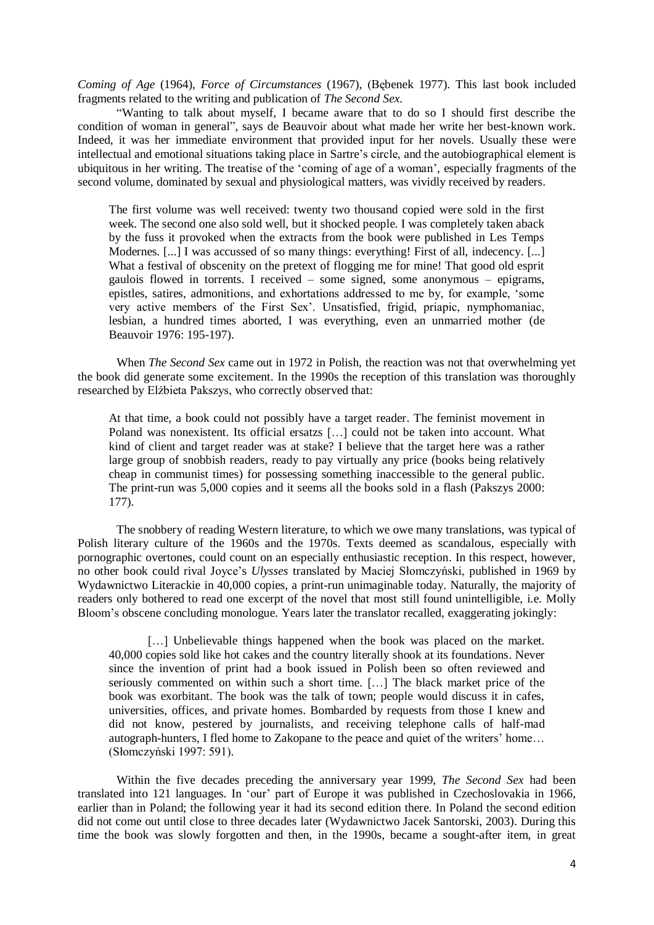*Coming of Age* (1964), *Force of Circumstances* (1967), (Bębenek 1977). This last book included fragments related to the writing and publication of *The Second Sex*.

"Wanting to talk about myself, I became aware that to do so I should first describe the condition of woman in general", says de Beauvoir about what made her write her best-known work. Indeed, it was her immediate environment that provided input for her novels. Usually these were intellectual and emotional situations taking place in Sartre's circle, and the autobiographical element is ubiquitous in her writing. The treatise of the "coming of age of a woman", especially fragments of the second volume, dominated by sexual and physiological matters, was vividly received by readers.

The first volume was well received: twenty two thousand copied were sold in the first week. The second one also sold well, but it shocked people. I was completely taken aback by the fuss it provoked when the extracts from the book were published in Les Temps Modernes. [...] I was accussed of so many things: everything! First of all, indecency. [...] What a festival of obscenity on the pretext of flogging me for mine! That good old esprit gaulois flowed in torrents. I received – some signed, some anonymous – epigrams, epistles, satires, admonitions, and exhortations addressed to me by, for example, "some very active members of the First Sex". Unsatisfied, frigid, priapic, nymphomaniac, lesbian, a hundred times aborted, I was everything, even an unmarried mother (de Beauvoir 1976: 195-197).

When *The Second Sex* came out in 1972 in Polish, the reaction was not that overwhelming yet the book did generate some excitement. In the 1990s the reception of this translation was thoroughly researched by Elżbieta Pakszys, who correctly observed that:

At that time, a book could not possibly have a target reader. The feminist movement in Poland was nonexistent. Its official ersatzs […] could not be taken into account. What kind of client and target reader was at stake? I believe that the target here was a rather large group of snobbish readers, ready to pay virtually any price (books being relatively cheap in communist times) for possessing something inaccessible to the general public. The print-run was 5,000 copies and it seems all the books sold in a flash (Pakszys 2000: 177).

The snobbery of reading Western literature, to which we owe many translations, was typical of Polish literary culture of the 1960s and the 1970s. Texts deemed as scandalous, especially with pornographic overtones, could count on an especially enthusiastic reception. In this respect, however, no other book could rival Joyce"s *Ulysses* translated by Maciej Słomczyński, published in 1969 by Wydawnictwo Literackie in 40,000 copies, a print-run unimaginable today. Naturally, the majority of readers only bothered to read one excerpt of the novel that most still found unintelligible, i.e. Molly Bloom"s obscene concluding monologue. Years later the translator recalled, exaggerating jokingly:

[...] Unbelievable things happened when the book was placed on the market. 40,000 copies sold like hot cakes and the country literally shook at its foundations. Never since the invention of print had a book issued in Polish been so often reviewed and seriously commented on within such a short time. […] The black market price of the book was exorbitant. The book was the talk of town; people would discuss it in cafes, universities, offices, and private homes. Bombarded by requests from those I knew and did not know, pestered by journalists, and receiving telephone calls of half-mad autograph-hunters, I fled home to Zakopane to the peace and quiet of the writers' home... (Słomczyński 1997: 591).

Within the five decades preceding the anniversary year 1999, *The Second Sex* had been translated into 121 languages. In "our" part of Europe it was published in Czechoslovakia in 1966, earlier than in Poland; the following year it had its second edition there. In Poland the second edition did not come out until close to three decades later (Wydawnictwo Jacek Santorski, 2003). During this time the book was slowly forgotten and then, in the 1990s, became a sought-after item, in great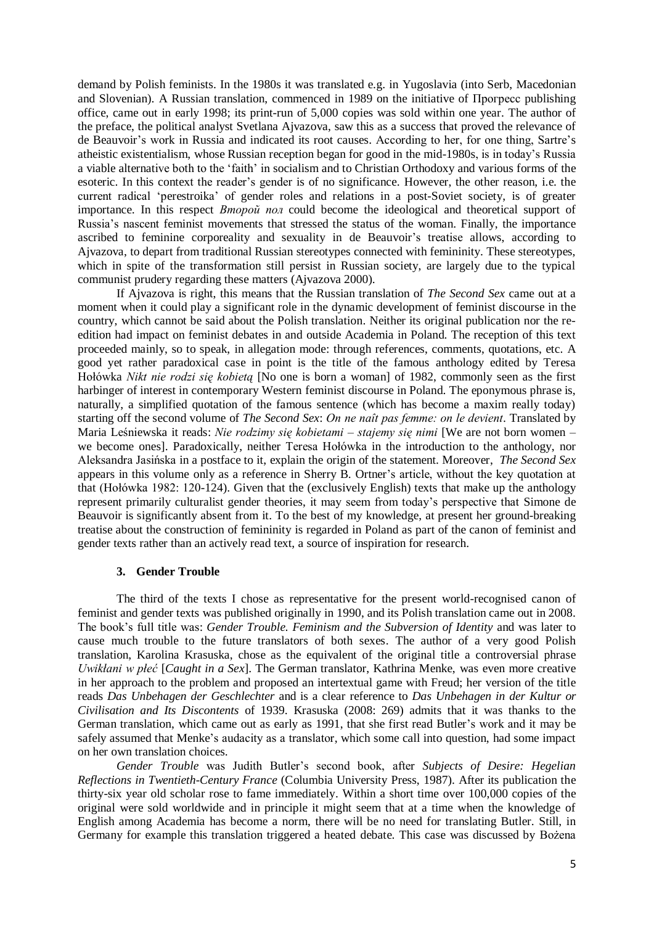demand by Polish feminists. In the 1980s it was translated e.g. in Yugoslavia (into Serb, Macedonian and Slovenian). A Russian translation, commenced in 1989 on the initiative of Прогресс publishing office, came out in early 1998; its print-run of 5,000 copies was sold within one year. The author of the preface, the political analyst Svetlana Ajvazova, saw this as a success that proved the relevance of de Beauvoir's work in Russia and indicated its root causes. According to her, for one thing, Sartre's atheistic existentialism, whose Russian reception began for good in the mid-1980s, is in today"s Russia a viable alternative both to the "faith" in socialism and to Christian Orthodoxy and various forms of the esoteric. In this context the reader"s gender is of no significance. However, the other reason, i.e. the current radical "perestroika" of gender roles and relations in a post-Soviet society, is of greater importance. In this respect *Второй пол* could become the ideological and theoretical support of Russia"s nascent feminist movements that stressed the status of the woman. Finally, the importance ascribed to feminine corporeality and sexuality in de Beauvoir"s treatise allows, according to Ajvazova, to depart from traditional Russian stereotypes connected with femininity. These stereotypes, which in spite of the transformation still persist in Russian society, are largely due to the typical communist prudery regarding these matters (Ajvazova 2000).

If Ajvazova is right, this means that the Russian translation of *The Second Sex* came out at a moment when it could play a significant role in the dynamic development of feminist discourse in the country, which cannot be said about the Polish translation. Neither its original publication nor the reedition had impact on feminist debates in and outside Academia in Poland. The reception of this text proceeded mainly, so to speak, in allegation mode: through references, comments, quotations, etc. A good yet rather paradoxical case in point is the title of the famous anthology edited by Teresa Hołówka *Nikt nie rodzi się kobietą* [No one is born a woman] of 1982, commonly seen as the first harbinger of interest in contemporary Western feminist discourse in Poland. The eponymous phrase is, naturally, a simplified quotation of the famous sentence (which has become a maxim really today) starting off the second volume of *The Second Sex*: *On ne naît pas femme: on le devient*. Translated by Maria Leśniewska it reads: *Nie rodzimy się kobietami – stajemy się nimi* [We are not born women – we become ones]. Paradoxically, neither Teresa Hołówka in the introduction to the anthology, nor Aleksandra Jasińska in a postface to it, explain the origin of the statement. Moreover, *The Second Sex*  appears in this volume only as a reference in Sherry B. Ortner"s article, without the key quotation at that (Hołówka 1982: 120-124). Given that the (exclusively English) texts that make up the anthology represent primarily culturalist gender theories, it may seem from today"s perspective that Simone de Beauvoir is significantly absent from it. To the best of my knowledge, at present her ground-breaking treatise about the construction of femininity is regarded in Poland as part of the canon of feminist and gender texts rather than an actively read text, a source of inspiration for research.

#### **3. Gender Trouble**

The third of the texts I chose as representative for the present world-recognised canon of feminist and gender texts was published originally in 1990, and its Polish translation came out in 2008. The book"s full title was: *Gender Trouble. Feminism and the Subversion of Identity* and was later to cause much trouble to the future translators of both sexes. The author of a very good Polish translation, Karolina Krasuska, chose as the equivalent of the original title a controversial phrase *Uwikłani w płeć* [*Caught in a Sex*]. The German translator, Kathrina Menke, was even more creative in her approach to the problem and proposed an intertextual game with Freud; her version of the title reads *Das Unbehagen der Geschlechter* and is a clear reference to *Das Unbehagen in der Kultur or Civilisation and Its Discontents* of 1939. Krasuska (2008: 269) admits that it was thanks to the German translation, which came out as early as 1991, that she first read Butler"s work and it may be safely assumed that Menke's audacity as a translator, which some call into question, had some impact on her own translation choices.

*Gender Trouble* was Judith Butler"s second book, after *Subjects of Desire: Hegelian Reflections in Twentieth-Century France* (Columbia University Press, 1987). After its publication the thirty-six year old scholar rose to fame immediately. Within a short time over 100,000 copies of the original were sold worldwide and in principle it might seem that at a time when the knowledge of English among Academia has become a norm, there will be no need for translating Butler. Still, in Germany for example this translation triggered a heated debate. This case was discussed by Bożena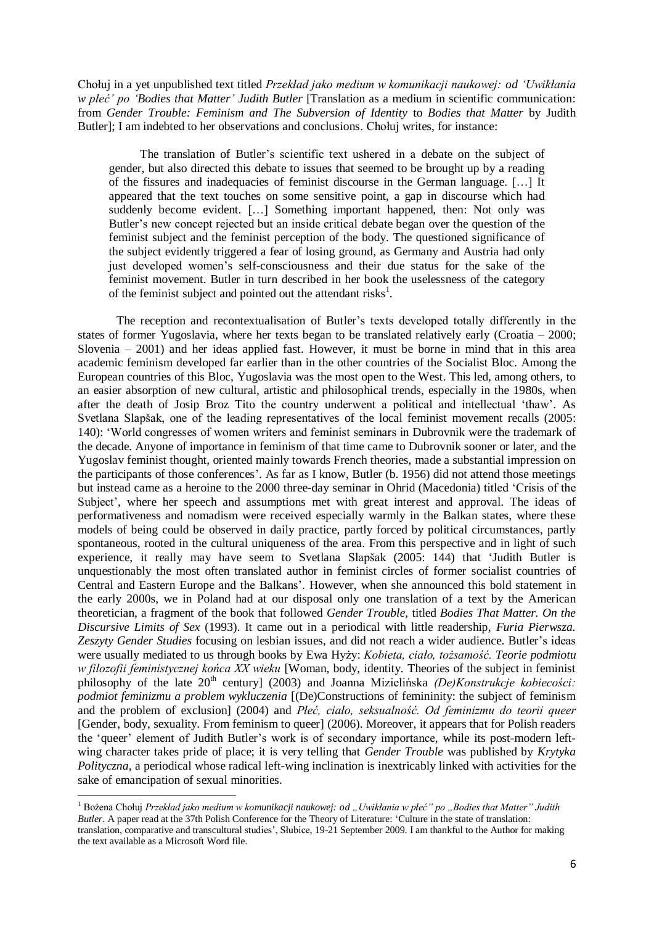Chołuj in a yet unpublished text titled *Przekład jako medium w komunikacji naukowej: od 'Uwikłania w płeć' po 'Bodies that Matter' Judith Butler* [Translation as a medium in scientific communication: from *Gender Trouble: Feminism and The Subversion of Identity* to *Bodies that Matter* by Judith Butler]; I am indebted to her observations and conclusions. Chołuj writes, for instance:

The translation of Butler"s scientific text ushered in a debate on the subject of gender, but also directed this debate to issues that seemed to be brought up by a reading of the fissures and inadequacies of feminist discourse in the German language. […] It appeared that the text touches on some sensitive point, a gap in discourse which had suddenly become evident. [...] Something important happened, then: Not only was Butler"s new concept rejected but an inside critical debate began over the question of the feminist subject and the feminist perception of the body. The questioned significance of the subject evidently triggered a fear of losing ground, as Germany and Austria had only just developed women"s self-consciousness and their due status for the sake of the feminist movement. Butler in turn described in her book the uselessness of the category of the feminist subject and pointed out the attendant risks<sup>1</sup>.

The reception and recontextualisation of Butler"s texts developed totally differently in the states of former Yugoslavia, where her texts began to be translated relatively early (Croatia – 2000; Slovenia – 2001) and her ideas applied fast. However, it must be borne in mind that in this area academic feminism developed far earlier than in the other countries of the Socialist Bloc. Among the European countries of this Bloc, Yugoslavia was the most open to the West. This led, among others, to an easier absorption of new cultural, artistic and philosophical trends, especially in the 1980s, when after the death of Josip Broz Tito the country underwent a political and intellectual "thaw". As Svetlana Slapšak, one of the leading representatives of the local feminist movement recalls (2005: 140): "World congresses of women writers and feminist seminars in Dubrovnik were the trademark of the decade. Anyone of importance in feminism of that time came to Dubrovnik sooner or later, and the Yugoslav feminist thought, oriented mainly towards French theories, made a substantial impression on the participants of those conferences". As far as I know, Butler (b. 1956) did not attend those meetings but instead came as a heroine to the 2000 three-day seminar in Ohrid (Macedonia) titled "Crisis of the Subject', where her speech and assumptions met with great interest and approval. The ideas of performativeness and nomadism were received especially warmly in the Balkan states, where these models of being could be observed in daily practice, partly forced by political circumstances, partly spontaneous, rooted in the cultural uniqueness of the area. From this perspective and in light of such experience, it really may have seem to Svetlana Slapšak (2005: 144) that "Judith Butler is unquestionably the most often translated author in feminist circles of former socialist countries of Central and Eastern Europe and the Balkans". However, when she announced this bold statement in the early 2000s, we in Poland had at our disposal only one translation of a text by the American theoretician, a fragment of the book that followed *Gender Trouble*, titled *Bodies That Matter. On the Discursive Limits of Sex* (1993). It came out in a periodical with little readership, *Furia Pierwsza. Zeszyty Gender Studies* focusing on lesbian issues, and did not reach a wider audience. Butler"s ideas were usually mediated to us through books by Ewa Hyży: *Kobieta, ciało, tożsamość. Teorie podmiotu w filozofii feministycznej końca XX wieku* [Woman, body, identity. Theories of the subject in feminist philosophy of the late 20<sup>th</sup> century] (2003) and Joanna Mizielińska *(De)Konstrukcje kobiecości: podmiot feminizmu a problem wykluczenia* [(De)Constructions of femininity: the subject of feminism and the problem of exclusion] (2004) and *Płeć, ciało, seksualność. Od feminizmu do teorii queer* [Gender, body, sexuality. From feminism to queer] (2006). Moreover, it appears that for Polish readers the 'queer' element of Judith Butler's work is of secondary importance, while its post-modern leftwing character takes pride of place; it is very telling that *Gender Trouble* was published by *Krytyka Polityczna*, a periodical whose radical left-wing inclination is inextricably linked with activities for the sake of emancipation of sexual minorities.

**.** 

<sup>&</sup>lt;sup>1</sup> Bożena Chołuj *Przekład jako medium w komunikacji naukowej: od "Uwikłania w płeć" po "Bodies that Matter" Judith Butler*. A paper read at the 37th Polish Conference for the Theory of Literature: "Culture in the state of translation: translation, comparative and transcultural studies", Słubice, 19-21 September 2009. I am thankful to the Author for making the text available as a Microsoft Word file.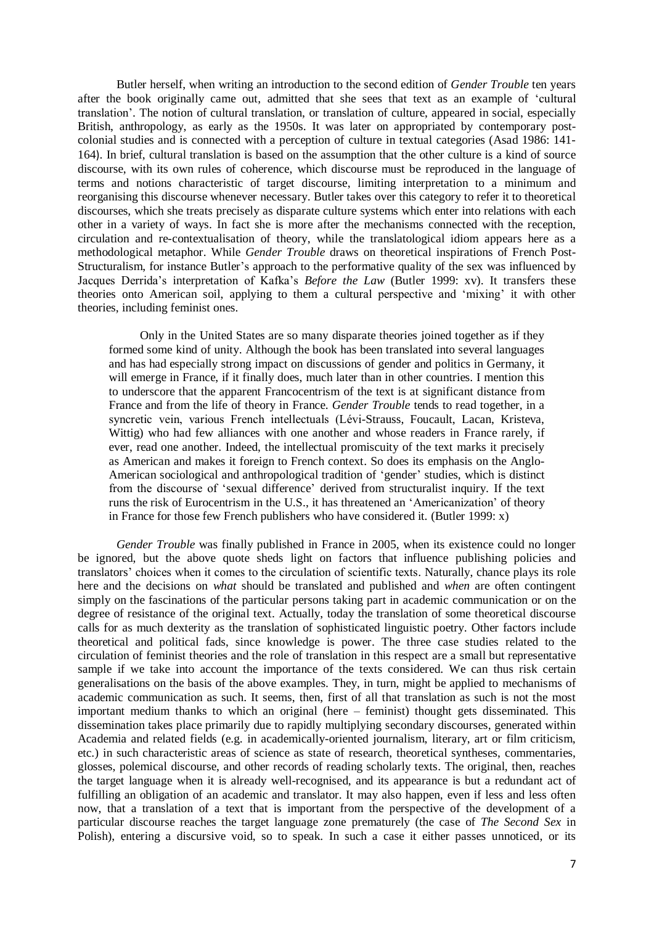Butler herself, when writing an introduction to the second edition of *Gender Trouble* ten years after the book originally came out, admitted that she sees that text as an example of "cultural translation". The notion of cultural translation, or translation of culture, appeared in social, especially British, anthropology, as early as the 1950s. It was later on appropriated by contemporary postcolonial studies and is connected with a perception of culture in textual categories (Asad 1986: 141- 164). In brief, cultural translation is based on the assumption that the other culture is a kind of source discourse, with its own rules of coherence, which discourse must be reproduced in the language of terms and notions characteristic of target discourse, limiting interpretation to a minimum and reorganising this discourse whenever necessary. Butler takes over this category to refer it to theoretical discourses, which she treats precisely as disparate culture systems which enter into relations with each other in a variety of ways. In fact she is more after the mechanisms connected with the reception, circulation and re-contextualisation of theory, while the translatological idiom appears here as a methodological metaphor. While *Gender Trouble* draws on theoretical inspirations of French Post-Structuralism, for instance Butler"s approach to the performative quality of the sex was influenced by Jacques Derrida"s interpretation of Kafka"s *Before the Law* (Butler 1999: xv). It transfers these theories onto American soil, applying to them a cultural perspective and "mixing" it with other theories, including feminist ones.

Only in the United States are so many disparate theories joined together as if they formed some kind of unity. Although the book has been translated into several languages and has had especially strong impact on discussions of gender and politics in Germany, it will emerge in France, if it finally does, much later than in other countries. I mention this to underscore that the apparent Francocentrism of the text is at significant distance from France and from the life of theory in France. *Gender Trouble* tends to read together, in a syncretic vein, various French intellectuals (Lévi-Strauss, Foucault, Lacan, Kristeva, Wittig) who had few alliances with one another and whose readers in France rarely, if ever, read one another. Indeed, the intellectual promiscuity of the text marks it precisely as American and makes it foreign to French context. So does its emphasis on the Anglo-American sociological and anthropological tradition of 'gender' studies, which is distinct from the discourse of "sexual difference" derived from structuralist inquiry. If the text runs the risk of Eurocentrism in the U.S., it has threatened an "Americanization" of theory in France for those few French publishers who have considered it. (Butler 1999: x)

*Gender Trouble* was finally published in France in 2005, when its existence could no longer be ignored, but the above quote sheds light on factors that influence publishing policies and translators" choices when it comes to the circulation of scientific texts. Naturally, chance plays its role here and the decisions on *what* should be translated and published and *when* are often contingent simply on the fascinations of the particular persons taking part in academic communication or on the degree of resistance of the original text. Actually, today the translation of some theoretical discourse calls for as much dexterity as the translation of sophisticated linguistic poetry. Other factors include theoretical and political fads, since knowledge is power. The three case studies related to the circulation of feminist theories and the role of translation in this respect are a small but representative sample if we take into account the importance of the texts considered. We can thus risk certain generalisations on the basis of the above examples. They, in turn, might be applied to mechanisms of academic communication as such. It seems, then, first of all that translation as such is not the most important medium thanks to which an original (here – feminist) thought gets disseminated. This dissemination takes place primarily due to rapidly multiplying secondary discourses, generated within Academia and related fields (e.g. in academically-oriented journalism, literary, art or film criticism, etc.) in such characteristic areas of science as state of research, theoretical syntheses, commentaries, glosses, polemical discourse, and other records of reading scholarly texts. The original, then, reaches the target language when it is already well-recognised, and its appearance is but a redundant act of fulfilling an obligation of an academic and translator. It may also happen, even if less and less often now, that a translation of a text that is important from the perspective of the development of a particular discourse reaches the target language zone prematurely (the case of *The Second Sex* in Polish), entering a discursive void, so to speak. In such a case it either passes unnoticed, or its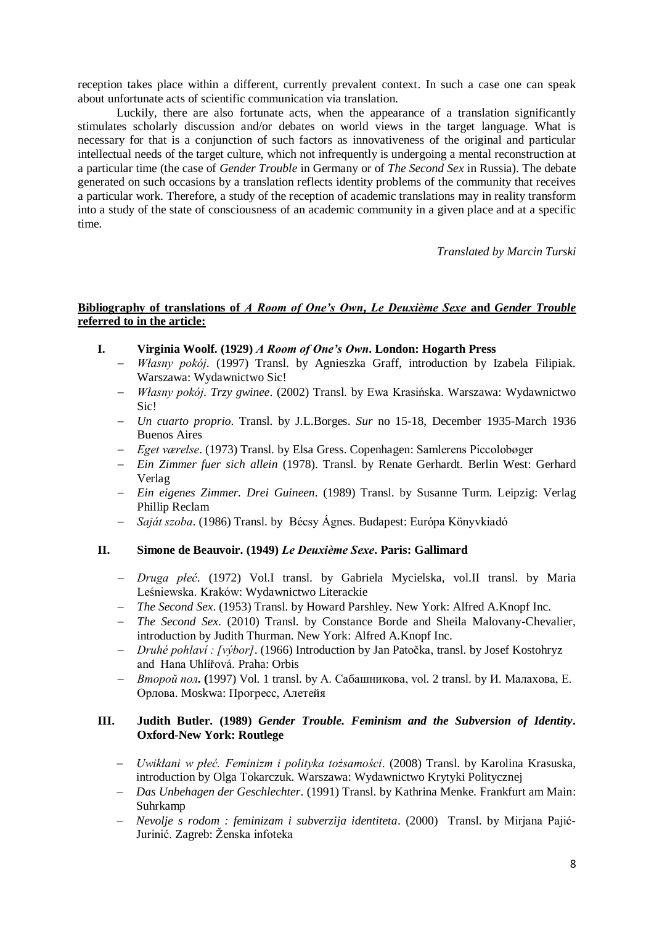reception takes place within a different, currently prevalent context. In such a case one can speak about unfortunate acts of scientific communication via translation.

Luckily, there are also fortunate acts, when the appearance of a translation significantly stimulates scholarly discussion and/or debates on world views in the target language. What is necessary for that is a conjunction of such factors as innovativeness of the original and particular intellectual needs of the target culture, which not infrequently is undergoing a mental reconstruction at a particular time (the case of *Gender Trouble* in Germany or of *The Second Sex* in Russia). The debate generated on such occasions by a translation reflects identity problems of the community that receives a particular work. Therefore, a study of the reception of academic translations may in reality transform into a study of the state of consciousness of an academic community in a given place and at a specific time.

*Translated by Marcin Turski*

# **Bibliography of translations of** *A Room of One's Own***,** *Le Deuxième Sexe* **and** *Gender Trouble* **referred to in the article:**

- **I. Virginia Woolf. (1929)** *A Room of One's Own***. London: Hogarth Press**
	- *Własny pokój*. (1997) Transl. by Agnieszka Graff, introduction by Izabela Filipiak. Warszawa: Wydawnictwo Sic!
	- *Własny pokój*. *Trzy gwinee*. (2002) Transl. by Ewa Krasińska. Warszawa: Wydawnictwo Sic!
	- *Un cuarto proprio*. Transl. by J.L.Borges. *Sur* no 15-18, December 1935-March 1936 Buenos Aires
	- *Eget værelse*. (1973) Transl. by Elsa Gress. Copenhagen: Samlerens Piccolobøger
	- *Ein Zimmer fuer sich allein* (1978). Transl. by Renate Gerhardt. Berlin West: Gerhard Verlag
	- *Ein eigenes Zimmer. Drei Guineen*. (1989) Transl. by Susanne Turm. Leipzig: Verlag Phillip Reclam
	- *Saját szoba*. (1986) Transl. by Bécsy Ágnes. Budapest: Európa Könyvkiadó

### **II. Simone de Beauvoir. (1949)** *Le Deuxième Sexe***. Paris: Gallimard**

- *Druga płeć*. (1972) Vol.I transl. by Gabriela Mycielska, vol.II transl. by Maria Leśniewska. Kraków: Wydawnictwo Literackie
- *The Second Sex*. (1953) Transl. by Howard Parshley. New York: Alfred A.Knopf Inc.
- *The Second Sex*. (2010) Transl. by Constance Borde and Sheila Malovany-Chevalier, introduction by Judith Thurman. New York: Alfred A.Knopf Inc.
- *Druhé pohlaví : [výbor]*. (1966) Introduction by Jan Patočka, transl. by Josef Kostohryz and Hana Uhlířová. Praha: Orbis
- *Второй пол***. (**1997) Vol. 1 transl. by А. Сабашникова, vol. 2 transl. by И. Малахова, Е. Орлова. Moskwa: Прогресс, Алетейя

## **III. Judith Butler. (1989)** *Gender Trouble. Feminism and the Subversion of Identity***. Oxford-New York: Routlege**

- *Uwikłani w płeć. Feminizm i polityka tożsamości*. (2008) Transl. by Karolina Krasuska, introduction by Olga Tokarczuk. Warszawa: Wydawnictwo Krytyki Politycznej
- *Das Unbehagen der Geschlechter*. (1991) Transl. by Kathrina Menke. Frankfurt am Main: Suhrkamp
- *Nevolje s rodom : feminizam i subverzija identiteta*. (2000) Transl. by Mirjana Pajić-Jurinić. Zagreb: Ženska infoteka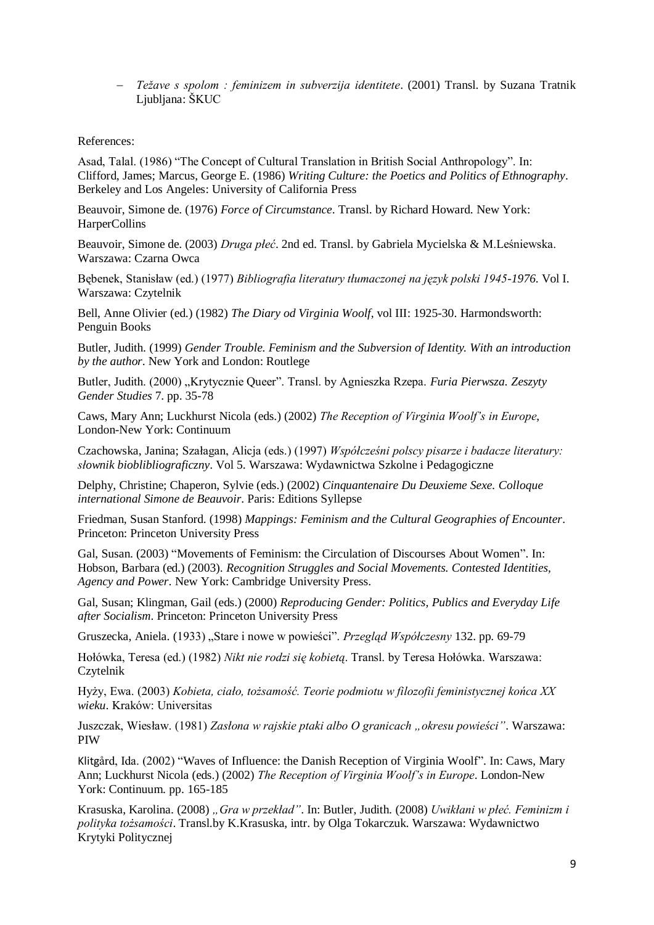*Težave s spolom : feminizem in subverzija identitete*. (2001) Transl. by Suzana Tratnik Ljubljana: ŠKUC

### References:

Asad, Talal. (1986) "The Concept of Cultural Translation in British Social Anthropology". In: Clifford, James; Marcus, George E. (1986) *Writing Culture: the Poetics and Politics of Ethnography*. Berkeley and Los Angeles: University of California Press

Beauvoir, Simone de. (1976) *Force of Circumstance*. Transl. by Richard Howard. New York: HarperCollins

Beauvoir, Simone de. (2003) *Druga płeć*. 2nd ed. Transl. by Gabriela Mycielska & M.Leśniewska. Warszawa: Czarna Owca

Bębenek, Stanisław (ed.) (1977) *Bibliografia literatury tłumaczonej na język polski 1945-1976*. Vol I. Warszawa: Czytelnik

Bell, Anne Olivier (ed.) (1982) *The Diary od Virginia Woolf*, vol III: 1925-30. Harmondsworth: Penguin Books

Butler, Judith. (1999) *Gender Trouble. Feminism and the Subversion of Identity. With an introduction by the author*. New York and London: Routlege

Butler, Judith. (2000) "Krytycznie Queer". Transl. by Agnieszka Rzepa. *Furia Pierwsza. Zeszyty Gender Studies* 7. pp. 35-78

Caws, Mary Ann; Luckhurst Nicola (eds.) (2002) *The Reception of Virginia Woolf's in Europe*, London-New York: Continuum

Czachowska, Janina; Szałagan, Alicja (eds.) (1997) *Współcześni polscy pisarze i badacze literatury: słownik bioblibliograficzny*. Vol 5. Warszawa: Wydawnictwa Szkolne i Pedagogiczne

Delphy, Christine; Chaperon, Sylvie (eds.) (2002) *Cinquantenaire Du Deuxieme Sexe. Colloque international Simone de Beauvoir*. Paris: Editions Syllepse

Friedman, Susan Stanford. (1998) *Mappings: Feminism and the Cultural Geographies of Encounter*. Princeton: Princeton University Press

Gal, Susan. (2003) "Movements of Feminism: the Circulation of Discourses About Women". In: Hobson, Barbara (ed.) (2003). *Recognition Struggles and Social Movements. Contested Identities, Agency and Power*. New York: Cambridge University Press.

Gal, Susan; Klingman, Gail (eds.) (2000) *Reproducing Gender: Politics, Publics and Everyday Life after Socialism*. Princeton: Princeton University Press

Gruszecka, Aniela. (1933) "Stare i nowe w powieści". *Przegląd Współczesny* 132. pp. 69-79

Hołówka, Teresa (ed.) (1982) *Nikt nie rodzi się kobietą*. Transl. by Teresa Hołówka. Warszawa: Czytelnik

Hyży, Ewa. (2003) *Kobieta, ciało, tożsamość. Teorie podmiotu w filozofii feministycznej końca XX wieku*. Kraków: Universitas

Juszczak, Wiesław. (1981) *Zasłona w rajskie ptaki albo O granicach "okresu powieści"*. Warszawa: PIW

Klitgård, Ida. (2002) "Waves of Influence: the Danish Reception of Virginia Woolf". In: Caws, Mary Ann; Luckhurst Nicola (eds.) (2002) *The Reception of Virginia Woolf's in Europe*. London-New York: Continuum. pp. 165-185

Krasuska, Karolina. (2008) *"Gra w przekład"*. In: Butler, Judith. (2008) *Uwikłani w płeć. Feminizm i polityka tożsamości*. Transl.by K.Krasuska, intr. by Olga Tokarczuk. Warszawa: Wydawnictwo Krytyki Politycznej